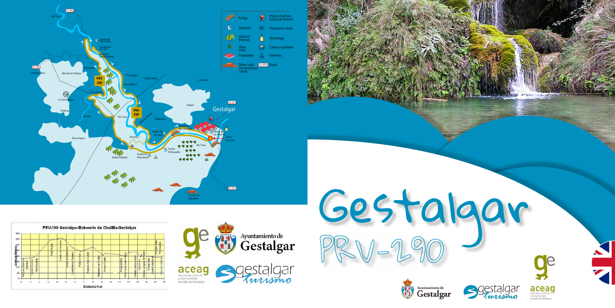





y excursionista<br>amig@s de Gestalgar